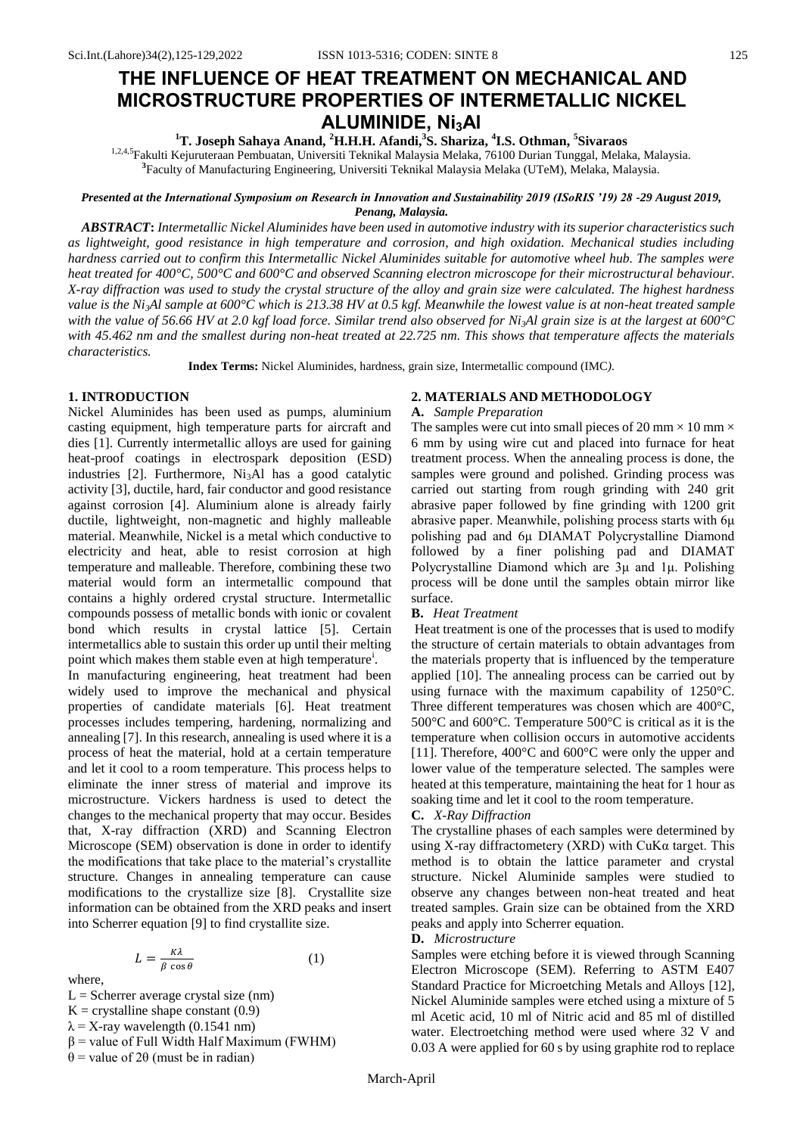# **THE INFLUENCE OF HEAT TREATMENT ON MECHANICAL AND MICROSTRUCTURE PROPERTIES OF INTERMETALLIC NICKEL ALUMINIDE, Ni3Al**

## **<sup>1</sup>T. Joseph Sahaya Anand, <sup>2</sup>H.H.H. Afandi,<sup>3</sup> S. Shariza, <sup>4</sup> I.S. Othman, <sup>5</sup> Sivaraos**

1,2,4,5Fakulti Kejuruteraan Pembuatan, Universiti Teknikal Malaysia Melaka, 76100 Durian Tunggal, Melaka, Malaysia. **3** Faculty of Manufacturing Engineering, Universiti Teknikal Malaysia Melaka (UTeM), Melaka, Malaysia.

#### *Presented at the International Symposium on Research in Innovation and Sustainability 2019 (ISoRIS '19) 28 -29 August 2019, Penang, Malaysia.*

*ABSTRACT***:** *Intermetallic Nickel Aluminides have been used in automotive industry with its superior characteristics such as lightweight, good resistance in high temperature and corrosion, and high oxidation. Mechanical studies including hardness carried out to confirm this Intermetallic Nickel Aluminides suitable for automotive wheel hub. The samples were heat treated for 400°C, 500°C and 600°C and observed Scanning electron microscope for their microstructural behaviour. X-ray diffraction was used to study the crystal structure of the alloy and grain size were calculated. The highest hardness value is the Ni3Al sample at 600°C which is 213.38 HV at 0.5 kgf. Meanwhile the lowest value is at non-heat treated sample with the value of 56.66 HV at 2.0 kgf load force. Similar trend also observed for Ni3Al grain size is at the largest at 600°C with 45.462 nm and the smallest during non-heat treated at 22.725 nm. This shows that temperature affects the materials characteristics.*

**Index Terms:** Nickel Aluminides, hardness, grain size, Intermetallic compound (IMC*).*

#### **1. INTRODUCTION**

Nickel Aluminides has been used as pumps, aluminium casting equipment, high temperature parts for aircraft and dies [1]. Currently intermetallic alloys are used for gaining heat-proof coatings in electrospark deposition (ESD) industries  $[2]$ . Furthermore, Ni<sub>3</sub>Al has a good catalytic activity [3], ductile, hard, fair conductor and good resistance against corrosion [4]. Aluminium alone is already fairly ductile, lightweight, non-magnetic and highly malleable material. Meanwhile, Nickel is a metal which conductive to electricity and heat, able to resist corrosion at high temperature and malleable. Therefore, combining these two material would form an intermetallic compound that contains a highly ordered crystal structure. Intermetallic compounds possess of metallic bonds with ionic or covalent bond which results in crystal lattice [5]. Certain intermetallics able to sustain this order up until their melting point which makes them stable even at high temperature<sup>1</sup>.

In manufacturing engineering, heat treatment had been widely used to improve the mechanical and physical properties of candidate materials [6]. Heat treatment processes includes tempering, hardening, normalizing and annealing [7]. In this research, annealing is used where it is a process of heat the material, hold at a certain temperature and let it cool to a room temperature. This process helps to eliminate the inner stress of material and improve its microstructure. Vickers hardness is used to detect the changes to the mechanical property that may occur. Besides that, X-ray diffraction (XRD) and Scanning Electron Microscope (SEM) observation is done in order to identify the modifications that take place to the material's crystallite structure. Changes in annealing temperature can cause modifications to the crystallize size [8]. Crystallite size information can be obtained from the XRD peaks and insert into Scherrer equation [9] to find crystallite size.

$$
L = \frac{\kappa \lambda}{\beta \cos \theta} \tag{1}
$$

where,

- $L =$  Scherrer average crystal size (nm)
- $K =$  crystalline shape constant (0.9)
- $\lambda$  = X-ray wavelength (0.1541 nm)
- $β = value of Full Width Half Maximum (FWHM)$
- θ = value of 2θ (must be in radian)

### **2. MATERIALS AND METHODOLOGY**

#### **A.** *Sample Preparation*

The samples were cut into small pieces of 20 mm  $\times$  10 mm  $\times$ 6 mm by using wire cut and placed into furnace for heat treatment process. When the annealing process is done, the samples were ground and polished. Grinding process was carried out starting from rough grinding with 240 grit abrasive paper followed by fine grinding with 1200 grit abrasive paper. Meanwhile, polishing process starts with 6μ polishing pad and 6μ DIAMAT Polycrystalline Diamond followed by a finer polishing pad and DIAMAT Polycrystalline Diamond which are 3μ and 1μ. Polishing process will be done until the samples obtain mirror like surface.

#### **B.** *Heat Treatment*

Heat treatment is one of the processes that is used to modify the structure of certain materials to obtain advantages from the materials property that is influenced by the temperature applied [10]. The annealing process can be carried out by using furnace with the maximum capability of 1250°C. Three different temperatures was chosen which are 400°C, 500°C and 600°C. Temperature 500°C is critical as it is the temperature when collision occurs in automotive accidents [11]. Therefore, 400°C and 600°C were only the upper and lower value of the temperature selected. The samples were heated at this temperature, maintaining the heat for 1 hour as soaking time and let it cool to the room temperature.

#### **C.** *X-Ray Diffraction*

The crystalline phases of each samples were determined by using X-ray diffractometery (XRD) with  $CuKa$  target. This method is to obtain the lattice parameter and crystal structure. Nickel Aluminide samples were studied to observe any changes between non-heat treated and heat treated samples. Grain size can be obtained from the XRD peaks and apply into Scherrer equation.

#### **D.** *Microstructure*

Samples were etching before it is viewed through Scanning Electron Microscope (SEM). Referring to ASTM E407 Standard Practice for Microetching Metals and Alloys [12], Nickel Aluminide samples were etched using a mixture of 5 ml Acetic acid, 10 ml of Nitric acid and 85 ml of distilled water. Electroetching method were used where 32 V and 0.03 A were applied for 60 s by using graphite rod to replace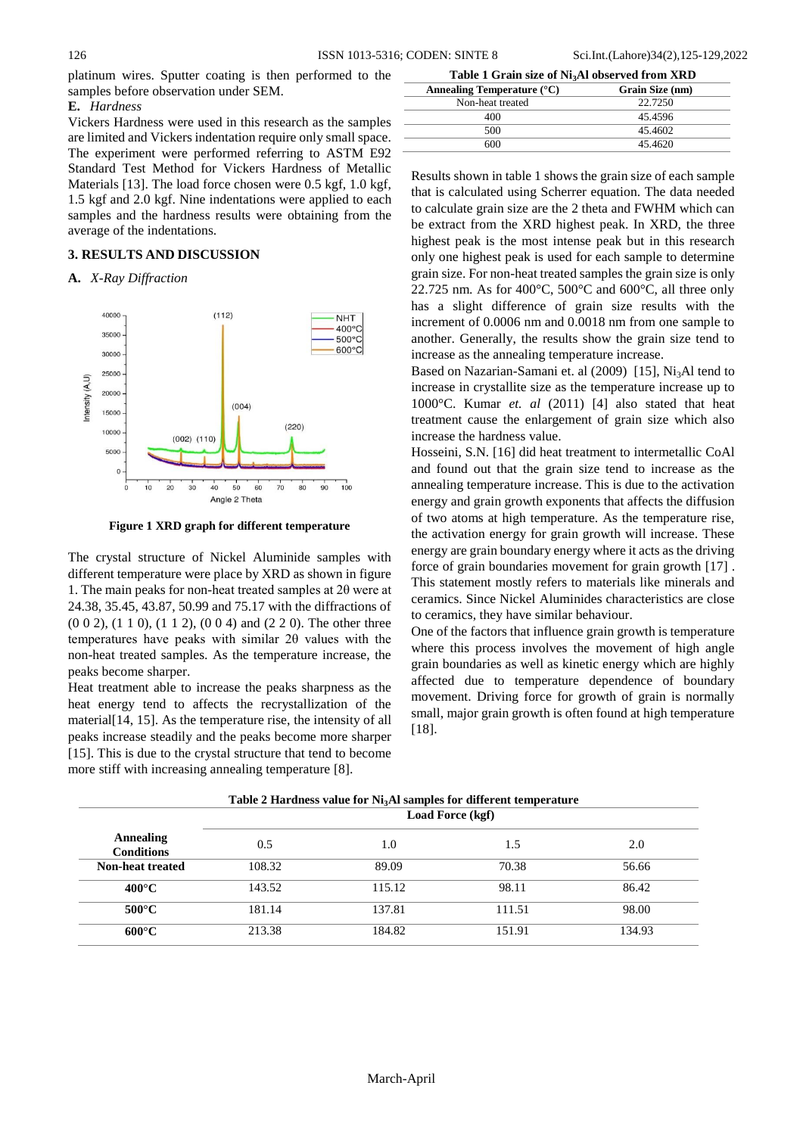platinum wires. Sputter coating is then performed to the samples before observation under SEM.

### **E.** *Hardness*

Vickers Hardness were used in this research as the samples are limited and Vickers indentation require only small space. The experiment were performed referring to ASTM E92 Standard Test Method for Vickers Hardness of Metallic Materials [13]. The load force chosen were 0.5 kgf, 1.0 kgf, 1.5 kgf and 2.0 kgf. Nine indentations were applied to each samples and the hardness results were obtaining from the average of the indentations.

#### **3. RESULTS AND DISCUSSION**

#### **A.** *X-Ray Diffraction*



**Figure 1 XRD graph for different temperature**

The crystal structure of Nickel Aluminide samples with different temperature were place by XRD as shown in figure 1. The main peaks for non-heat treated samples at 2θ were at 24.38, 35.45, 43.87, 50.99 and 75.17 with the diffractions of (0 0 2), (1 1 0), (1 1 2), (0 0 4) and (2 2 0). The other three temperatures have peaks with similar 2θ values with the non-heat treated samples. As the temperature increase, the peaks become sharper.

Heat treatment able to increase the peaks sharpness as the heat energy tend to affects the recrystallization of the material[14, 15]. As the temperature rise, the intensity of all peaks increase steadily and the peaks become more sharper [15]. This is due to the crystal structure that tend to become more stiff with increasing annealing temperature [8].

**Table 1 Grain size of Ni3Al observed from XRD**

| Annealing Temperature $(^{\circ}C)$ | Grain Size (nm) |  |
|-------------------------------------|-----------------|--|
| Non-heat treated                    | 22.7250         |  |
| 400                                 | 45.4596         |  |
| 500                                 | 45.4602         |  |
| 600                                 | 45.4620         |  |

Results shown in table 1 shows the grain size of each sample that is calculated using Scherrer equation. The data needed to calculate grain size are the 2 theta and FWHM which can be extract from the XRD highest peak. In XRD, the three highest peak is the most intense peak but in this research only one highest peak is used for each sample to determine grain size. For non-heat treated samples the grain size is only 22.725 nm. As for 400 $^{\circ}$ C, 500 $^{\circ}$ C and 600 $^{\circ}$ C, all three only has a slight difference of grain size results with the increment of 0.0006 nm and 0.0018 nm from one sample to another. Generally, the results show the grain size tend to increase as the annealing temperature increase.

Based on Nazarian-Samani et. al (2009) [15], Ni<sub>3</sub>Al tend to increase in crystallite size as the temperature increase up to 1000°C. Kumar *et. al* (2011) [4] also stated that heat treatment cause the enlargement of grain size which also increase the hardness value.

Hosseini, S.N. [16] did heat treatment to intermetallic CoAl and found out that the grain size tend to increase as the annealing temperature increase. This is due to the activation energy and grain growth exponents that affects the diffusion of two atoms at high temperature. As the temperature rise, the activation energy for grain growth will increase. These energy are grain boundary energy where it acts as the driving force of grain boundaries movement for grain growth [17] . This statement mostly refers to materials like minerals and ceramics. Since Nickel Aluminides characteristics are close to ceramics, they have similar behaviour.

One of the factors that influence grain growth is temperature where this process involves the movement of high angle grain boundaries as well as kinetic energy which are highly affected due to temperature dependence of boundary movement. Driving force for growth of grain is normally small, major grain growth is often found at high temperature [18].

| Annealing<br><b>Conditions</b> | Table 2 Hardness value for Ni <sub>3</sub> Al samples for different temperature<br>Load Force (kgf) |        |        |        |
|--------------------------------|-----------------------------------------------------------------------------------------------------|--------|--------|--------|
|                                | 0.5                                                                                                 | 1.0    | 1.5    | 2.0    |
| Non-heat treated               | 108.32                                                                                              | 89.09  | 70.38  | 56.66  |
| $400^{\circ}$ C                | 143.52                                                                                              | 115.12 | 98.11  | 86.42  |
| $500^{\circ}$ C                | 181.14                                                                                              | 137.81 | 111.51 | 98.00  |
| $600^{\circ}$ C                | 213.38                                                                                              | 184.82 | 151.91 | 134.93 |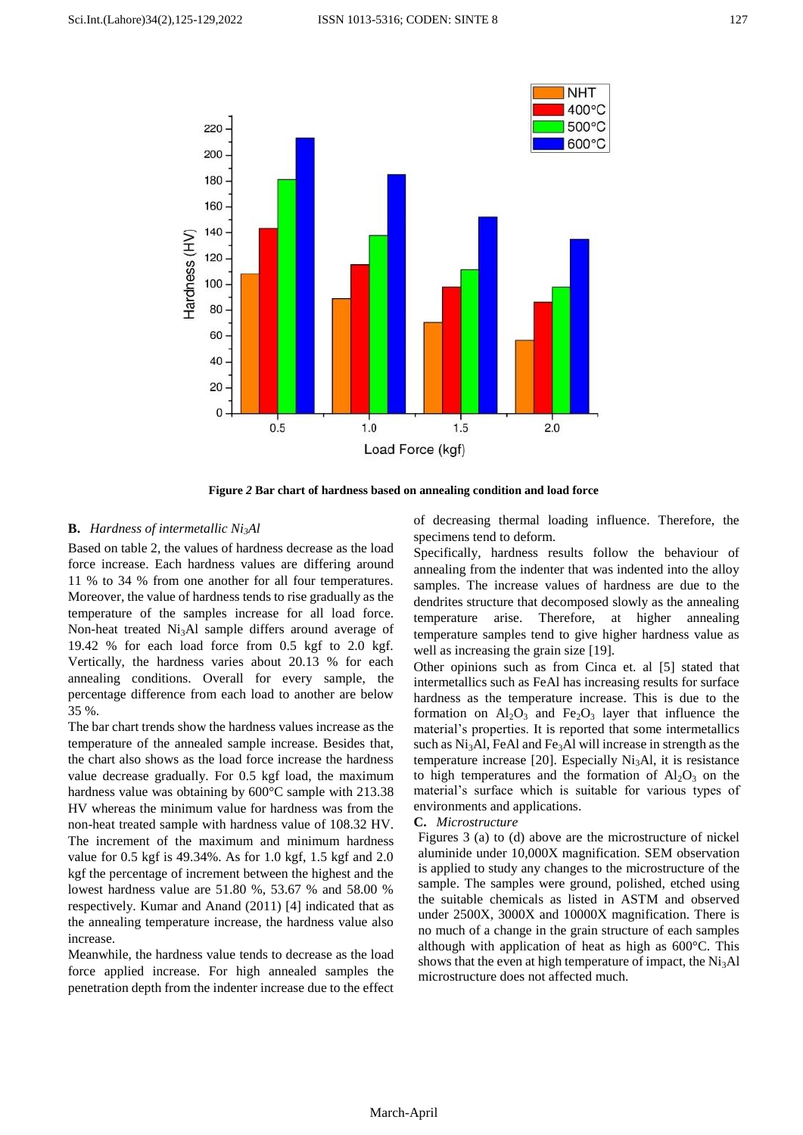

**Figure** *2* **Bar chart of hardness based on annealing condition and load force**

#### **B.** *Hardness of intermetallic Ni3Al*

Based on table 2, the values of hardness decrease as the load force increase. Each hardness values are differing around 11 % to 34 % from one another for all four temperatures. Moreover, the value of hardness tends to rise gradually as the temperature of the samples increase for all load force. Non-heat treated Ni<sub>3</sub>Al sample differs around average of 19.42 % for each load force from 0.5 kgf to 2.0 kgf. Vertically, the hardness varies about 20.13 % for each annealing conditions. Overall for every sample, the percentage difference from each load to another are below 35 %.

The bar chart trends show the hardness values increase as the temperature of the annealed sample increase. Besides that, the chart also shows as the load force increase the hardness value decrease gradually. For 0.5 kgf load, the maximum hardness value was obtaining by 600°C sample with 213.38 HV whereas the minimum value for hardness was from the non-heat treated sample with hardness value of 108.32 HV. The increment of the maximum and minimum hardness value for 0.5 kgf is 49.34%. As for 1.0 kgf, 1.5 kgf and 2.0 kgf the percentage of increment between the highest and the lowest hardness value are 51.80 %, 53.67 % and 58.00 % respectively. Kumar and Anand (2011) [4] indicated that as the annealing temperature increase, the hardness value also increase.

Meanwhile, the hardness value tends to decrease as the load force applied increase. For high annealed samples the penetration depth from the indenter increase due to the effect of decreasing thermal loading influence. Therefore, the specimens tend to deform.

Specifically, hardness results follow the behaviour of annealing from the indenter that was indented into the alloy samples. The increase values of hardness are due to the dendrites structure that decomposed slowly as the annealing temperature arise. Therefore, at higher annealing temperature samples tend to give higher hardness value as well as increasing the grain size [19].

Other opinions such as from Cinca et. al [5] stated that intermetallics such as FeAl has increasing results for surface hardness as the temperature increase. This is due to the formation on  $Al_2O_3$  and  $Fe_2O_3$  layer that influence the material's properties. It is reported that some intermetallics such as  $Ni<sub>3</sub>Al$ , FeAl and Fe<sub>3</sub>Al will increase in strength as the temperature increase [20]. Especially  $Ni<sub>3</sub>Al$ , it is resistance to high temperatures and the formation of  $Al_2O_3$  on the material's surface which is suitable for various types of environments and applications.

#### **C.** *Microstructure*

Figures 3 (a) to (d) above are the microstructure of nickel aluminide under 10,000X magnification. SEM observation is applied to study any changes to the microstructure of the sample. The samples were ground, polished, etched using the suitable chemicals as listed in ASTM and observed under 2500X, 3000X and 10000X magnification. There is no much of a change in the grain structure of each samples although with application of heat as high as 600°C. This shows that the even at high temperature of impact, the  $Ni<sub>3</sub>Al$ microstructure does not affected much.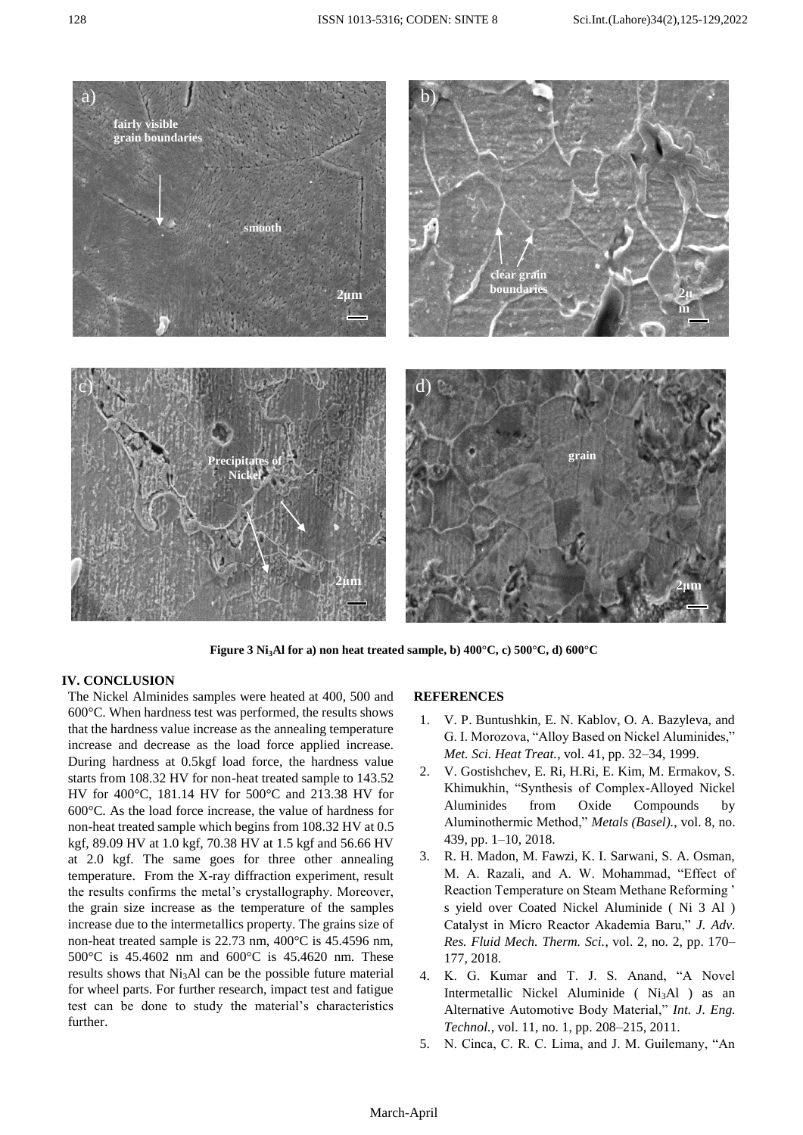

**Figure 3 Ni3Al for a) non heat treated sample, b) 400°C, c) 500°C, d) 600°C**

#### **IV. CONCLUSION**

The Nickel Alminides samples were heated at 400, 500 and 600°C. When hardness test was performed, the results shows that the hardness value increase as the annealing temperature increase and decrease as the load force applied increase. During hardness at 0.5kgf load force, the hardness value starts from 108.32 HV for non-heat treated sample to 143.52 HV for 400°C, 181.14 HV for 500°C and 213.38 HV for 600°C. As the load force increase, the value of hardness for non-heat treated sample which begins from 108.32 HV at 0.5 kgf, 89.09 HV at 1.0 kgf, 70.38 HV at 1.5 kgf and 56.66 HV at 2.0 kgf. The same goes for three other annealing temperature. From the X-ray diffraction experiment, result the results confirms the metal's crystallography. Moreover, the grain size increase as the temperature of the samples increase due to the intermetallics property. The grains size of non-heat treated sample is 22.73 nm, 400°C is 45.4596 nm, 500°C is 45.4602 nm and 600°C is 45.4620 nm. These results shows that  $Ni<sub>3</sub>Al$  can be the possible future material for wheel parts. For further research, impact test and fatigue test can be done to study the material's characteristics further.

#### **REFERENCES**

- 1. V. P. Buntushkin, E. N. Kablov, O. A. Bazyleva, and G. I. Morozova, "Alloy Based on Nickel Aluminides," *Met. Sci. Heat Treat.*, vol. 41, pp. 32–34, 1999.
- 2. V. Gostishchev, E. Ri, H.Ri, E. Kim, M. Ermakov, S. Khimukhin, "Synthesis of Complex-Alloyed Nickel Aluminides from Oxide Compounds by Aluminothermic Method," *Metals (Basel).*, vol. 8, no. 439, pp. 1–10, 2018.
- 3. R. H. Madon, M. Fawzi, K. I. Sarwani, S. A. Osman, M. A. Razali, and A. W. Mohammad, "Effect of Reaction Temperature on Steam Methane Reforming ' s yield over Coated Nickel Aluminide ( Ni 3 Al ) Catalyst in Micro Reactor Akademia Baru," *J. Adv. Res. Fluid Mech. Therm. Sci.*, vol. 2, no. 2, pp. 170– 177, 2018.
- 4. K. G. Kumar and T. J. S. Anand, "A Novel Intermetallic Nickel Aluminide ( $Ni<sub>3</sub>Al$ ) as an Alternative Automotive Body Material," *Int. J. Eng. Technol.*, vol. 11, no. 1, pp. 208–215, 2011.
- 5. N. Cinca, C. R. C. Lima, and J. M. Guilemany, "An